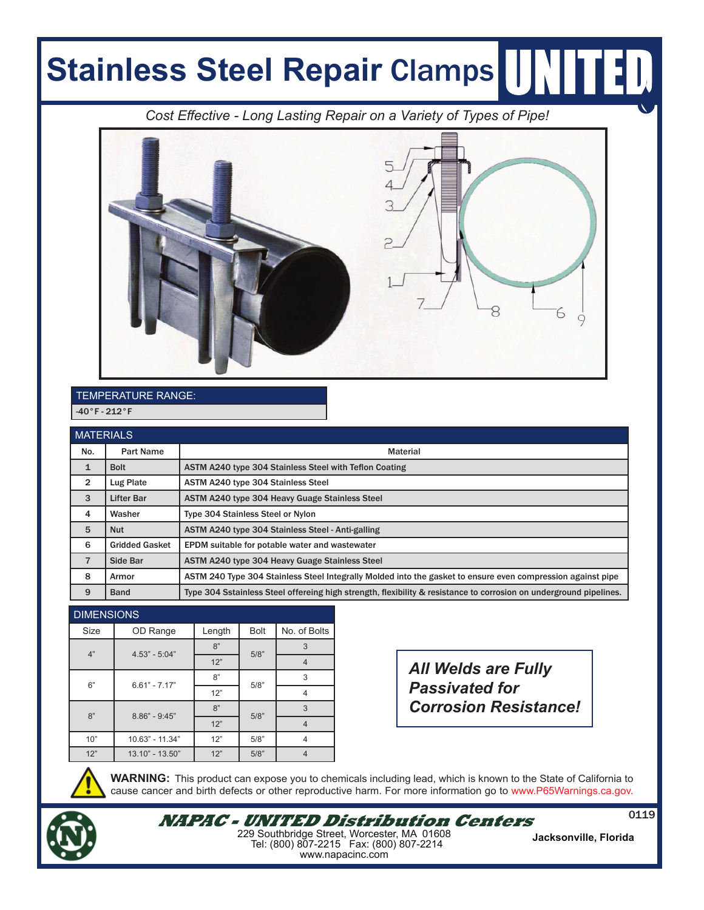## **Stainless Steel Repair Clamps**

*Cost Eff ective - Long Lasting Repair on a Variety of Types of Pipe!*



## TEMPERATURE RANGE:  $-40°F - 212°F$

| <b>MATERIALS</b> |                       |                                                                                                                    |  |  |  |
|------------------|-----------------------|--------------------------------------------------------------------------------------------------------------------|--|--|--|
| No.              | <b>Part Name</b>      | <b>Material</b>                                                                                                    |  |  |  |
| 1                | <b>Bolt</b>           | ASTM A240 type 304 Stainless Steel with Teflon Coating                                                             |  |  |  |
| $\overline{2}$   | Lug Plate             | ASTM A240 type 304 Stainless Steel                                                                                 |  |  |  |
| 3                | <b>Lifter Bar</b>     | ASTM A240 type 304 Heavy Guage Stainless Steel                                                                     |  |  |  |
| 4                | Washer                | Type 304 Stainless Steel or Nylon                                                                                  |  |  |  |
| 5                | <b>Nut</b>            | ASTM A240 type 304 Stainless Steel - Anti-galling                                                                  |  |  |  |
| 6                | <b>Gridded Gasket</b> | EPDM suitable for potable water and wastewater                                                                     |  |  |  |
| $\overline{7}$   | <b>Side Bar</b>       | <b>ASTM A240 type 304 Heavy Guage Stainless Steel</b>                                                              |  |  |  |
| 8                | Armor                 | ASTM 240 Type 304 Stainless Steel Integrally Molded into the gasket to ensure even compression against pipe        |  |  |  |
| 9                | <b>Band</b>           | Type 304 Sstainless Steel offereing high strength, flexibility & resistance to corrosion on underground pipelines. |  |  |  |

## **DIMENSIONS**

| ----------- |                 |        |             |              |  |  |
|-------------|-----------------|--------|-------------|--------------|--|--|
| Size        | OD Range        | Length | <b>Bolt</b> | No. of Bolts |  |  |
| 4"          | $4.53" - 5:04"$ | 8"     | 5/8"        | 3            |  |  |
|             |                 | 12"    |             | 4            |  |  |
| 6"          | $6.61" - 7.17"$ | 8"     | 5/8"        | 3            |  |  |
|             |                 | 12"    |             | 4            |  |  |
| 8"          | $8.86" - 9:45"$ | 8"     | 5/8"        | 3            |  |  |
|             |                 | 12"    |             | 4            |  |  |
| 10"         | 10.63" - 11.34" | 12"    | 5/8"        | 4            |  |  |
| 12"         | 13.10" - 13.50" | 12"    | 5/8"        |              |  |  |

*All Welds are Fully Passivated for Corrosion Resistance!*



**WARNING:** This product can expose you to chemicals including lead, which is known to the State of California to cause cancer and birth defects or other reproductive harm. For more information go to www.P65Warnings.ca.gov.



<sup>0119</sup> **NAPAC - UNITED Distribution Centers** 229 Southbridge Street, Worcester, MA 01608 Tel: (800) 807-2215 Fax: (800) 807-2214 www.napacinc.com

**Jacksonville, Florida**